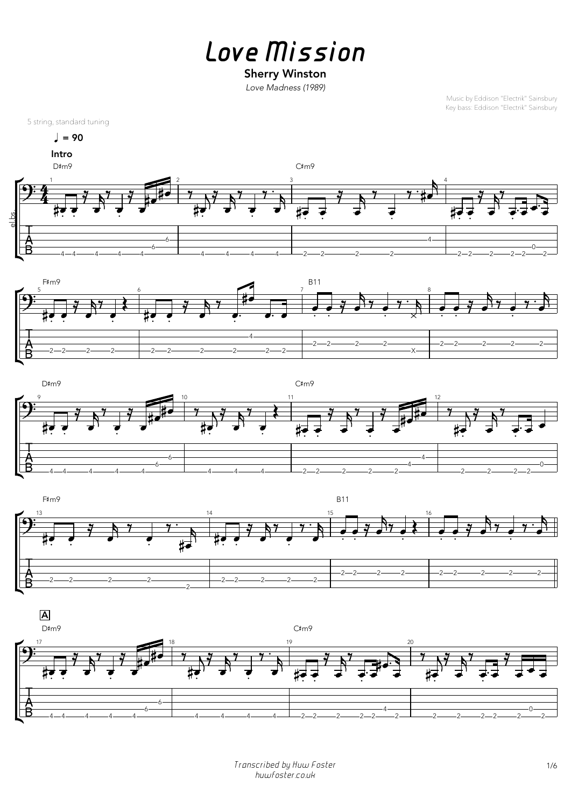*Love Mission*

## Sherry Winston

*Love Madness (1989)*

Music by Eddison "Electrik" Sainsbury Key bass: Eddison "Electrik" Sainsbury

5 string, standard tuning

 $\sqrt{ }$  = 90

*Transcribed by Huw Foster* 1/6 *huwfoster.co.uk*









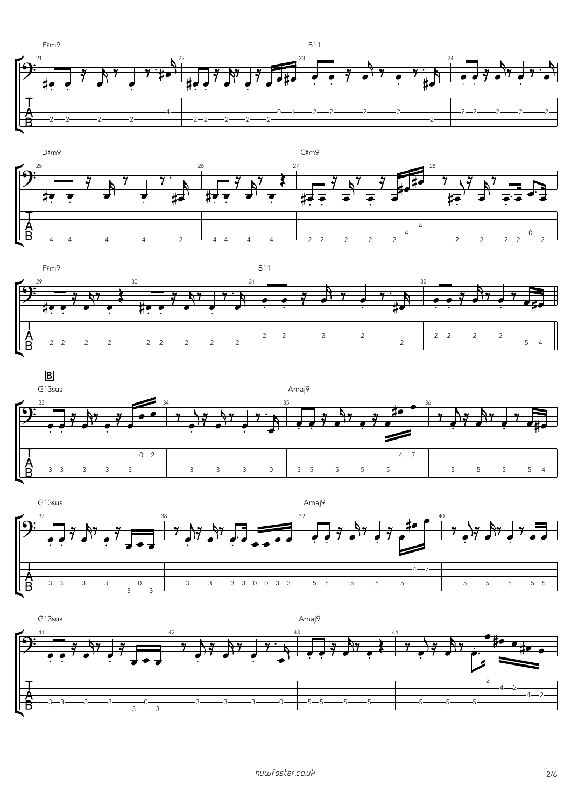











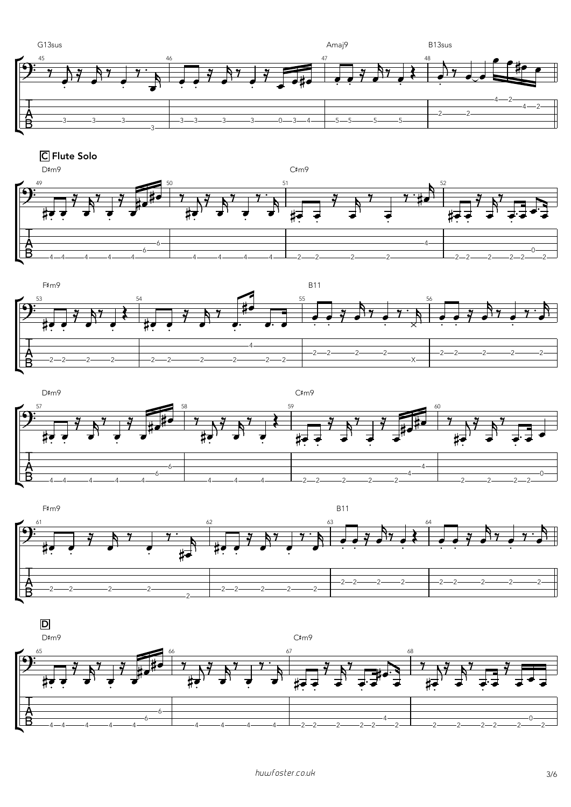

C Flute Solo







C#m9









D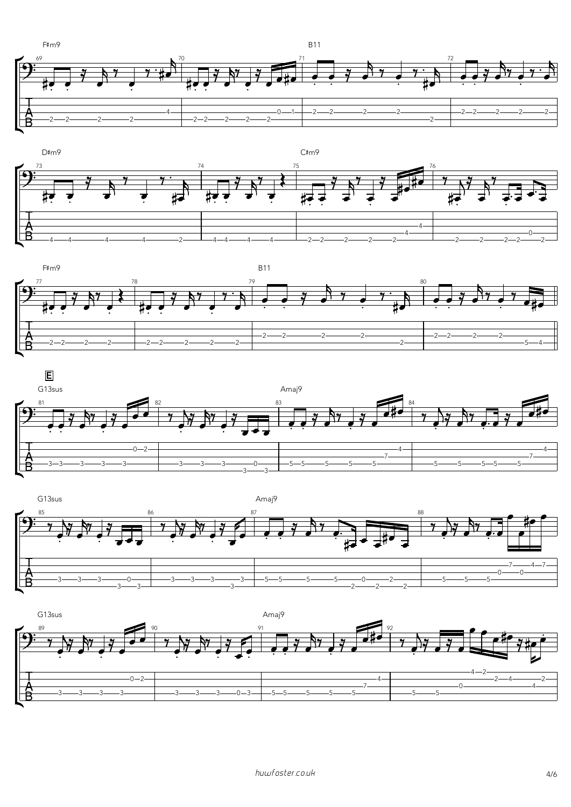









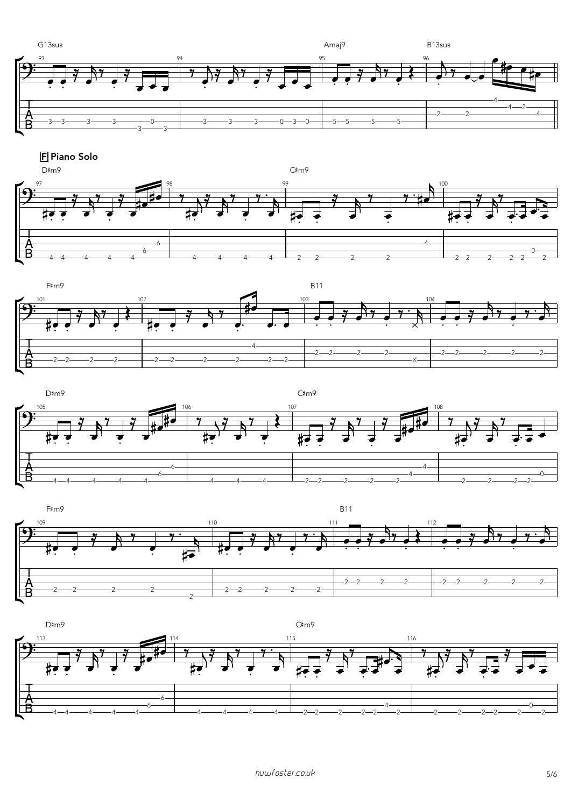

**F** Piano Solo









D#m9